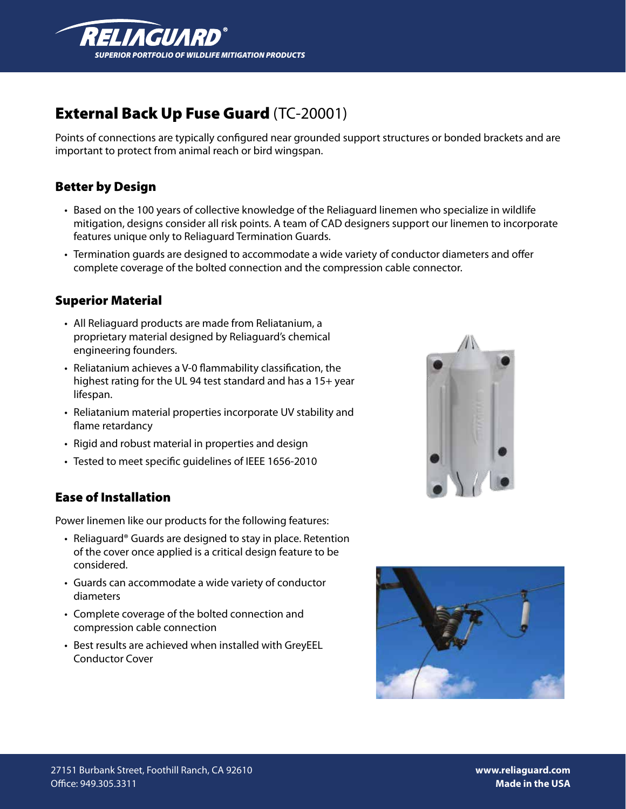

# External Back Up Fuse Guard (TC-20001)

Points of connections are typically configured near grounded support structures or bonded brackets and are important to protect from animal reach or bird wingspan.

#### Better by Design

- • Based on the 100 years of collective knowledge of the Reliaguard linemen who specialize in wildlife mitigation, designs consider all risk points. A team of CAD designers support our linemen to incorporate features unique only to Reliaguard Termination Guards.
- • Termination guards are designed to accommodate a wide variety of conductor diameters and offer complete coverage of the bolted connection and the compression cable connector.

#### Superior Material

- All Reliaguard products are made from Reliatanium, a proprietary material designed by Reliaguard's chemical engineering founders.
- • Reliatanium achieves a V-0 flammability classification, the highest rating for the UL 94 test standard and has a 15+ year lifespan.
- Reliatanium material properties incorporate UV stability and flame retardancy
- Rigid and robust material in properties and design
- Tested to meet specific quidelines of IEEE 1656-2010

#### Ease of Installation

Power linemen like our products for the following features:

- Reliaguard<sup>®</sup> Guards are designed to stay in place. Retention of the cover once applied is a critical design feature to be considered.
- • Guards can accommodate a wide variety of conductor diameters
- Complete coverage of the bolted connection and compression cable connection
- Best results are achieved when installed with GreyEEL Conductor Cover





**www.reliaguard.com Made in the USA**